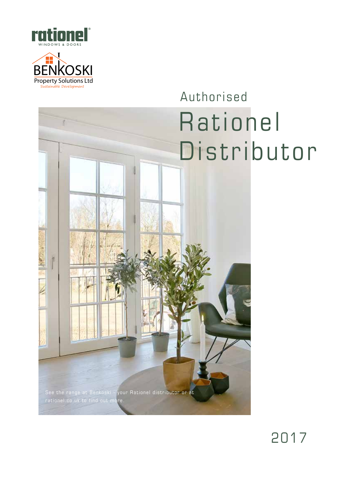



# Authorised Rationel Distributor



2017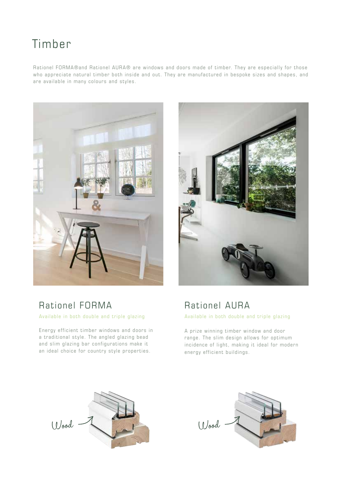# Timber

Rationel FORMA®and Rationel AURA® are windows and doors made of timber. They are especially for those who appreciate natural timber both inside and out. They are manufactured in bespoke sizes and shapes, and are available in many colours and styles.





## Rationel FORMA

Available in both double and triple glazing

Energy efficient timber windows and doors in a traditional style. The angled glazing bead and slim glazing bar configurations make it an ideal choice for country style properties.



A prize winning timber window and door range. The slim design allows for optimum incidence of light, making it ideal for modern energy efficient buildings.



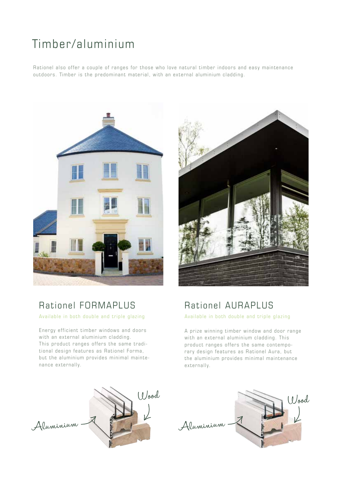# Timber/aluminium

Rationel also offer a couple of ranges for those who love natural timber indoors and easy maintenance outdoors. Timber is the predominant material, with an external aluminium cladding.



## Rationel FORMAPLUS

Available in both double and triple glazing

Energy efficient timber windows and doors with an external aluminium cladding. This product ranges offers the same traditional design features as Rationel Forma, but the aluminium provides minimal maintenance externally.



## Rationel AURAPLUS

Available in both double and triple glazing

A prize winning timber window and door range with an external aluminium cladding. This product ranges offers the same contemporary design features as Rationel Aura, but the aluminium provides minimal maintenance externally.